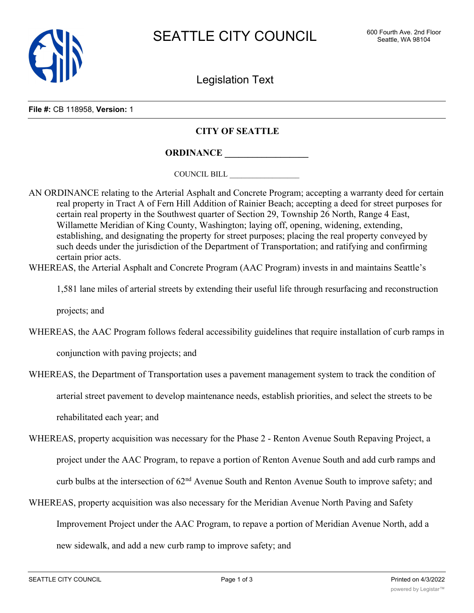

Legislation Text

**File #:** CB 118958, **Version:** 1

## **CITY OF SEATTLE**

**ORDINANCE \_\_\_\_\_\_\_\_\_\_\_\_\_\_\_\_\_\_**

COUNCIL BILL \_\_\_\_\_\_\_\_\_\_\_\_\_\_\_\_\_\_

- AN ORDINANCE relating to the Arterial Asphalt and Concrete Program; accepting a warranty deed for certain real property in Tract A of Fern Hill Addition of Rainier Beach; accepting a deed for street purposes for certain real property in the Southwest quarter of Section 29, Township 26 North, Range 4 East, Willamette Meridian of King County, Washington; laying off, opening, widening, extending, establishing, and designating the property for street purposes; placing the real property conveyed by such deeds under the jurisdiction of the Department of Transportation; and ratifying and confirming certain prior acts.
- WHEREAS, the Arterial Asphalt and Concrete Program (AAC Program) invests in and maintains Seattle's

1,581 lane miles of arterial streets by extending their useful life through resurfacing and reconstruction

projects; and

WHEREAS, the AAC Program follows federal accessibility guidelines that require installation of curb ramps in

conjunction with paving projects; and

WHEREAS, the Department of Transportation uses a pavement management system to track the condition of

arterial street pavement to develop maintenance needs, establish priorities, and select the streets to be

rehabilitated each year; and

- WHEREAS, property acquisition was necessary for the Phase 2 Renton Avenue South Repaving Project, a project under the AAC Program, to repave a portion of Renton Avenue South and add curb ramps and curb bulbs at the intersection of 62<sup>nd</sup> Avenue South and Renton Avenue South to improve safety; and
- WHEREAS, property acquisition was also necessary for the Meridian Avenue North Paving and Safety Improvement Project under the AAC Program, to repave a portion of Meridian Avenue North, add a new sidewalk, and add a new curb ramp to improve safety; and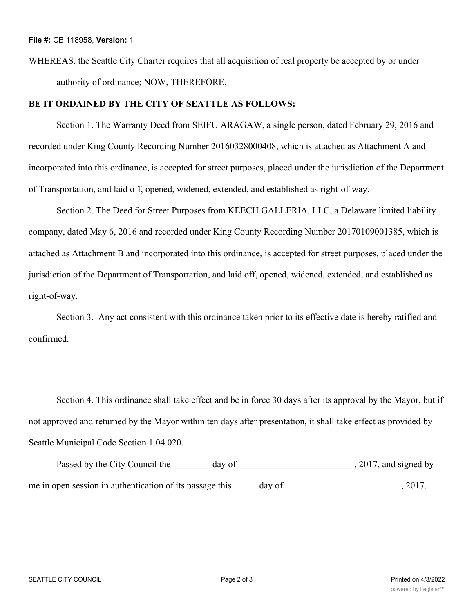WHEREAS, the Seattle City Charter requires that all acquisition of real property be accepted by or under authority of ordinance; NOW, THEREFORE,

## **BE IT ORDAINED BY THE CITY OF SEATTLE AS FOLLOWS:**

Section 1. The Warranty Deed from SEIFU ARAGAW, a single person, dated February 29, 2016 and recorded under King County Recording Number 20160328000408, which is attached as Attachment A and incorporated into this ordinance, is accepted for street purposes, placed under the jurisdiction of the Department of Transportation, and laid off, opened, widened, extended, and established as right-of-way.

Section 2. The Deed for Street Purposes from KEECH GALLERIA, LLC, a Delaware limited liability company, dated May 6, 2016 and recorded under King County Recording Number 20170109001385, which is attached as Attachment B and incorporated into this ordinance, is accepted for street purposes, placed under the jurisdiction of the Department of Transportation, and laid off, opened, widened, extended, and established as right-of-way.

Section 3. Any act consistent with this ordinance taken prior to its effective date is hereby ratified and confirmed.

Section 4. This ordinance shall take effect and be in force 30 days after its approval by the Mayor, but if not approved and returned by the Mayor within ten days after presentation, it shall take effect as provided by Seattle Municipal Code Section 1.04.020.

Passed by the City Council the \_\_\_\_\_\_\_ day of \_\_\_\_\_\_\_\_\_\_\_\_\_\_\_\_\_\_\_\_\_\_\_\_\_, 2017, and signed by me in open session in authentication of its passage this day of  $\qquad \qquad$ , 2017.

\_\_\_\_\_\_\_\_\_\_\_\_\_\_\_\_\_\_\_\_\_\_\_\_\_\_\_\_\_\_\_\_\_\_\_\_